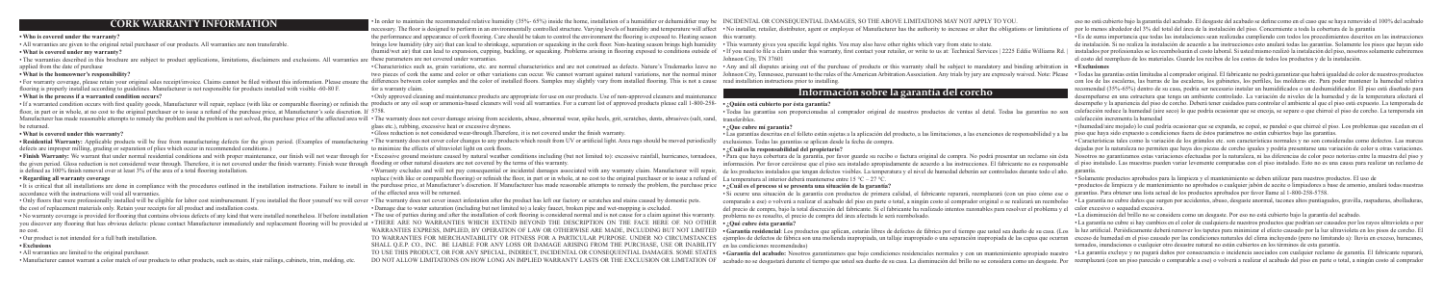• Characteristics such as, grain variations, etc. are normal characteristics and are not construed as defects. Nature's Trademarks leave no • Any and all disputes arising out of the purchase of products or this warranty sh Todas las garantías están limitadas al comprador or operá agarantizan que habraid paranted y are annot warrant against natural variations, nor the normal minor Johnson City, Tennessee, pursuant to the rules of the American

• Si ocurre una situación de la garantía con productos de primera calidad, el fabricante reparará, reemplazará (con un piso cómo ese comparado a ese) o volverá a realizar el acabado del piso en parte o total, a ningún costo al comprador original o se realizará un reembolso del precio de compra, bajo la total discreción del fabricante. Si el fabricante ha realizado intentos razonables para resolver el problema y el calor excesivo o sequedad excesiva. problema no es resuelto, el precio de compra del área afectada le será reembolsado.

TO USE THIS PRODUCT, OR FOR ANY SPECIAL, INDIRECT, INCIDENTAL OR CONSEQUENTIAL DAMAGES. SOME STATES . Garantía del acabado: Nosotros garantizamos que bajo condiciones residenciales normales y con un mantenimiento apropiado now LONG AN IMPLIED WARRANTY LASTS OR THE EXCLUSION OR LIMITATION OF acabado no se desgastará durante el tiempo que usted sea dueño de su casa. La disminución del brillo no se considera como un desgaste. Por reemplazará (c

|                                                                                                                                                                                                                                | In order to maintain the recommended relative humidity (35%-65%) inside the home, installation of a humidifier or dehumidifier may be INCIDENTAL OR CONSEQUENTIAL DAMAGES, SO THE ABOVE LIMITATIONS MAY NOT APPLY TO YOU       |                                                                                                                                                     |
|--------------------------------------------------------------------------------------------------------------------------------------------------------------------------------------------------------------------------------|--------------------------------------------------------------------------------------------------------------------------------------------------------------------------------------------------------------------------------|-----------------------------------------------------------------------------------------------------------------------------------------------------|
| <b>CORK WARRANTY INFORMATION</b>                                                                                                                                                                                               | necessary. The floor is designed to perform in an environmentally controlled structure. Varying levels of humidity and temperature will affect . No installer, retailer, distributor, agent or employee of Manufacturer has th |                                                                                                                                                     |
| • Who is covered under the warranty?                                                                                                                                                                                           | the performance and appearance of cork flooring. Care should be taken to control the environment the flooring is exposed to. Heating season this warranty.                                                                     |                                                                                                                                                     |
| • All warranties are given to the original retail purchaser of our products. All warranties are non transferable.                                                                                                              | brings low humidity (dry air) that can lead to shrinkage, separation or squeaking in the cork floor. Non-heating season brings high humidity . This warranty gives you specific legal rights. You may also have other rights w |                                                                                                                                                     |
| • What is covered under my warranty?                                                                                                                                                                                           | (humid/wet air) that can lead to expansion, cupping, buckling, or squeaking. Problems arising in flooring exposed to conditions outside of . If you need to file a claim under this warranty, first contact your retailer, or  |                                                                                                                                                     |
| • The warranties described in this brochure are subject to product applications, limitations, disclaimers and exclusions. All warranties are these parameters are not covered under warranties.                                |                                                                                                                                                                                                                                | Johnson City, TN 37601                                                                                                                              |
| applied from the date of purchase                                                                                                                                                                                              | • Characteristics such as, grain variations, etc. are normal characteristics and are not construed as defects. Nature's Trademarks leave no . Any and all disputes arising out of the purchase of products or this warranty sh |                                                                                                                                                     |
| • What is the homeowner's responsibility?                                                                                                                                                                                      | two pieces of cork the same and color or other variations can occur. We cannot warrant against natural variations, nor the normal minor Johnson City, Tennessee, pursuant to the rules of the American Arbitration Association |                                                                                                                                                     |
|                                                                                                                                                                                                                                | · For warranty coverage, please retain your original sales receipt/invoice. Claims cannot be filed without this information. Please ensure the differences between color samples and the color of installed floors. Samples ma |                                                                                                                                                     |
| flooring is properly installed according to guidelines. Manufacturer is not responsible for products installed with visible -60-80 F.                                                                                          | for a warranty claim.                                                                                                                                                                                                          |                                                                                                                                                     |
| • What is the process if a warranted condition occurs?                                                                                                                                                                         | • Only approved cleaning and maintenance products are appropriate for use on our products. Use of non-approved cleaners and maintenance                                                                                        | Información sobre la garantía del corcho                                                                                                            |
|                                                                                                                                                                                                                                | · If a warranted condition occurs with first quality goods, Manufacturer will repair, replace (with like or comparable flooring) or refinish the products or any oil soap or ammonia-based cleaners will void all warranties.  | · ¿Quién está cubierto por ésta garantía?                                                                                                           |
| floor, in part or in whole, at no cost to the original purchaser or to issue a refund of the purchase price, at Manufacturer's sole discretion. If 5758.                                                                       |                                                                                                                                                                                                                                | · Todas las garantías son proporcionadas al comprador original de nuestros productos de ventas al detal. Todas las garantías no son                 |
| Manufacturer has made reasonable attempts to remedy the problem and the problem is not solved, the purchase price of the affected area wi                                                                                      | • The warranty does not cover damage arising from accidents, abuse, abnormal wear, spike heels, grit, scratches, dents, abrasives (salt, sand,                                                                                 | transferibles                                                                                                                                       |
| be returned.                                                                                                                                                                                                                   | glass etc.), rubbing, excessive heat or excessive dryness.                                                                                                                                                                     | $\cdot$ : Que cubre mí garantía?                                                                                                                    |
| • What is covered under this warranty?                                                                                                                                                                                         | • Gloss reduction is not considered wear-through. Therefore, it is not covered under the finish warranty.                                                                                                                      | • Las garantías descritas en el folleto están sujetas a la aplicación del producto, a las limitaciones, a las exenciones de responsabilidad y a las |
|                                                                                                                                                                                                                                | . Residential Warranty: Applicable products will be free from manufacturing defects for the given period. (Examples of manufacturing . The warranty does not cover color changes to any products which result from UV or artif | exclusiones. Todas las garantías se aplican desde la fecha de compra.                                                                               |
| defects are improper milling, grading or separation of plies which occur in recommended conditions.)                                                                                                                           | to minimize the effects of ultraviolet light on cork floors.                                                                                                                                                                   | •¿Cuál es la responsabilidad del propietario?                                                                                                       |
|                                                                                                                                                                                                                                | . Finish Warranty: We warrant that under normal residential conditions and with proper maintenance, our finish will not wear through for . Excessive ground moisture caused by natural weather conditions including (but not l | • Para que haya cobertura de la garantía, por favor guarde su recibo o factura original de compra. No podrá presentar un reclamo sin ésta           |
| the given period. Gloss reduction is not considered wear through. Therefore, it is not covered under the finish warranty. Finish wear through flooding or other natural disasters are not covered by the terms of this warrant |                                                                                                                                                                                                                                | información. Por favor cerciórese que el piso sea instalado apropiadamente de acuerdo a las instrucciones. El fabricante no es responsable          |
| is defined as 100% finish removal over at least 3% of the area of a total flooring installation.                                                                                                                               | • Warranty excludes and will not pay consequential or incidental damages associated with any warranty claim. Manufacturer will repair,                                                                                         | de los productos instalados que tengan defectos visibles. La temperatura y el nivel de humedad deberán ser controlados durante todo el año          |
| • Regarding all warranty coverage                                                                                                                                                                                              | replace (with like or comparable flooring) or refinish the floor, in part or in whole, at no cost to the original purchaser or to issue a refund of                                                                            | La temperatura al interior deberá mantenerse entre 15 °C – 27 °C.                                                                                   |
|                                                                                                                                                                                                                                | • It is critical that all installations are done in compliance with the procedures outlined in the installation instructions. Failure to install in the purchase price, at Manufacturer's discretion. If Manufacturer has made | • ¿Cuál es el proceso si se presenta una situación de la garantía?                                                                                  |
| accordance with the instructions will void all warranties.                                                                                                                                                                     | of the effected area will be returned.                                                                                                                                                                                         | · Si ocurre una situación de la garantía con productos de primera calidad, el fabricante reparará, reemplazará (con un piso cómo ese c              |
| . Only floors that were professionally installed will be eligible for labor cost reimbursement. If you installed the floor yourself we will cover . The warranty does not cover insect infestation after the product has left  |                                                                                                                                                                                                                                | comparado a ese) o volverá a realizar el acabado del piso en parte o total, a ningún costo al comprador original o se realizará un reembolso        |
| the cost of replacement materials only. Retain your receipts for all product and installation costs.                                                                                                                           | • Damage due to water saturation (including but not limited to) a leaky faucet, broken pipe and wet-mopping is excluded.                                                                                                       | del precio de compra, bajo la total discreción del fabricante. Si el fabricante ha realizado intentos razonables para resolver el problema y el     |
| • No warranty coverage is provided for flooring that contains obvious defects of any kind that were installed nonetheless. If before installation • The use of putties during and after the installation of cork flooring is c |                                                                                                                                                                                                                                | problema no es resuelto, el precio de compra del área afectada le será reembolsado.                                                                 |
|                                                                                                                                                                                                                                | you discover any flooring that has obvious defects: please contact Manufacturer immediately and replacement flooring will be provided at . THERE ARE NO WARRANTIES WHICH EXTEND BEYOND THE DESCRIPTION ON THE FACE HERE OF. NO | $\cdot$ : Qué cubre ésta garantía?                                                                                                                  |
| no cost.                                                                                                                                                                                                                       | WARRANTIES EXPRESS, IMPLIED, BY OPERATION OF LAW OR OTHERWISE ARE MADE, INCLUDING BUT NOT LIMITED                                                                                                                              | • Garantía residencial: Los productos que aplican, estarán libres de defectos de fábrica por el tiempo que usted sea dueño de su casa. (Los         |
| • Our product is not intended for a full bath installation.                                                                                                                                                                    | TO WARRANTIES FOR MERCHANTABILITY OR FITNESS FOR A PARTICULAR PURPOSE. UNDER NO CIRCUMSTANCES                                                                                                                                  | ejemplos de defectos de fábrica son una molienda inapropiada, un tallaje inapropiado o una separación inapropiada de las capas que ocurrar          |
| • Exclusions                                                                                                                                                                                                                   | SHALL O.E.P. CO., INC. BE LIABLE FOR ANY LOSS OR DAMAGE ARISING FROM THE PURCHASE, USE OR INABILITY                                                                                                                            | en las condiciones recomendadas)                                                                                                                    |
| • All warranties are limited to the original purchaser.                                                                                                                                                                        | TO USE THIS PRODUCT, OR FOR ANY SPECIAL, INDIRECT, INCIDENTAL OR CONSEQUENTIAL DAMAGES. SOME STATES                                                                                                                            | · Garantía del acabado: Nosotros garantizamos que bajo condiciones residenciales normales y con un mantenimiento apropiado nuestro                  |
| • Manufacturer cannot warrant a color match of our products to other products, such as stairs, stair railings, cabinets, trim, molding, etc.                                                                                   | DO NOT ALLOW LIMITATIONS ON HOW LONG AN IMPLIED WARRANTY LASTS OR THE EXCLUSION OR LIMITATION OF                                                                                                                               | acabado no se desgastará durante el tiempo que usted sea dueño de su casa. La disminución del brillo no se considera como un desgaste. Por          |
|                                                                                                                                                                                                                                |                                                                                                                                                                                                                                |                                                                                                                                                     |

Garantía residencial: Los productos que aplican, estarán libres de esu casa. (Los ha luz artificial. Periódicamente deberá remover los tapetes para minimizar el efecto causado por la luz ultravioleta en los pisos de corcho TO WARRANTIES FOR MERCHANTABILITY OR FITNESS FOR A PARTICULAR PURPOSE. UNDER NO CIRCUMSTANCES ejemplos de defectos de fábrica son una molienda inapropiada, un tallaje inapropiada, un tallaje inapropiada o una separación in • La garantía no cubre si hay cambios en el color de cualquiera de nuestros productos que podrían ser causados por los rayos ultravioleta o por tornados, inundaciones o cualquier otro desastre natural no están cubiertos en los términos de esta garantía.

### • **• ¿Quién está cubierto por ésta garantía?**

### **• ¿Que cubre mí garantía?**

## **• ¿Cuál es la responsabilidad del propietario?**

## **Información sobre la garantía del corcho**

eso no está cubierto bajo la garantía del acabado. El desgaste del acabado se define como en el caso que se haya removido el 100% del acabado por lo menos alrededor del 3% del total del área de la instalación del piso. Concerniente a toda la cobertura de la garantía • Es de suma importancia que todas las instalaciones sean realizadas cumpliendo con todos los procedimientos descritos en las instrucciones de instalación. Si no realiza la instalación de acuerdo a las instrucciones esto anulará todas las garantías. Solamente los pisos que hayan sido instalados por profesionales se les reembolsarán el costo laboral. Si usted mismo realizó la instalación del piso, nosotros solamente cubriremos el costo del reemplazo de los materiales. Guarde los recibos de los costos de todos los productos y de la instalación.

con los de las escaleras, las barras de las escaleras, los gabinetes, los perfiles, las molduras etc. Para poder mantener la humedad relativa recomendad (35%-65%) dentro de su casa, podría ser necesario instalar un humidificados o un deshumidificador. El piso está diseñado para desempeñarse en una estructura que tenga un ambiente controlado. La variación de niveles de la humedad y de la temperatura afectará el desempeño y la apariencia del piso de corcho. Deberá tener cuidados para controlar el ambiente al que el piso está expuesto. La temporada de calefacción reduce la humedad (aire seco) lo que podría ocasionar que se encoja, se separe o que chirreé el piso de corcho. La temporada sin calefacción incrementa la humedad

• (humedad/aire mojado) lo cual podría ocasionar que se expanda, se copeé, se pandeé o que chirreé el piso. Los problemas que sucedan en el piso que haya sido expuesto a condiciones fuera de éstos parámetros no están cubiertos bajo las garantías. • Características tales como la variación de los gránulos etc. son características normales y no son consideradas como defectos. Las marcas dejadas por la naturaleza no permiten que haya dos piezas de corcho iguales y podría presentarse una variación de color u otras variaciones. Nosotros no garantizamos estas variaciones efectuadas por la naturaleza, ni las diferencias de color poco notorias entre la muestra del piso y el piso instalado. Las muestras pueden variar levemente comparadas con el piso instalado. Esto no es una causa para realizar un reclamo de garantía.

• Solamente productos aprobados para la limpieza y el mantenimiento se deben utilizar para nuestros productos. El uso de • productos de limpieza y de mantenimiento no aprobados o cualquier jabón de aceite o limpiadores a base de amonio, anulará todas nuestras garantías. Para obtener una lista actual de los productos aprobados por favor llame al 1-800-258-5758. • La garantía no cubre daños que surgen por accidentes, abuso, desgaste anormal, tacones altos puntiagudos, gravilla, raspaduras, abolladuras,

• La disminución del brillo no se considera como un desgaste. Por eso no está cubierto bajo la garantía del acabado.